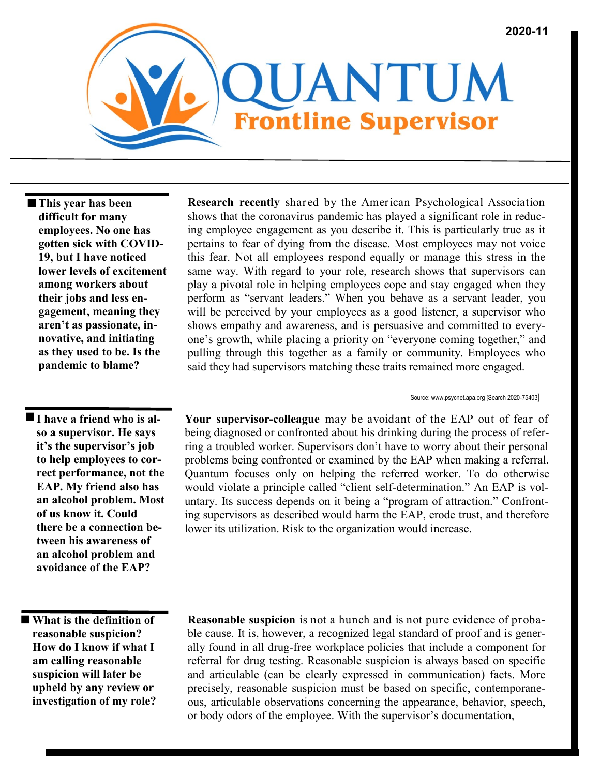

 **This year has been difficult for many employees. No one has gotten sick with COVID-19, but I have noticed lower levels of excitement among workers about their jobs and less engagement, meaning they aren't as passionate, innovative, and initiating as they used to be. Is the pandemic to blame?** 

 **I have a friend who is also a supervisor. He says it's the supervisor's job to help employees to correct performance, not the EAP. My friend also has an alcohol problem. Most of us know it. Could there be a connection between his awareness of an alcohol problem and avoidance of the EAP?** 

 **What is the definition of reasonable suspicion? How do I know if what I am calling reasonable suspicion will later be upheld by any review or investigation of my role?**

**Research recently** shared by the American Psychological Association shows that the coronavirus pandemic has played a significant role in reducing employee engagement as you describe it. This is particularly true as it pertains to fear of dying from the disease. Most employees may not voice this fear. Not all employees respond equally or manage this stress in the same way. With regard to your role, research shows that supervisors can play a pivotal role in helping employees cope and stay engaged when they perform as "servant leaders." When you behave as a servant leader, you will be perceived by your employees as a good listener, a supervisor who shows empathy and awareness, and is persuasive and committed to everyone's growth, while placing a priority on "everyone coming together," and pulling through this together as a family or community. Employees who said they had supervisors matching these traits remained more engaged.

Source: www.psycnet.apa.org [Search 2020-75403]

**Your supervisor-colleague** may be avoidant of the EAP out of fear of being diagnosed or confronted about his drinking during the process of referring a troubled worker. Supervisors don't have to worry about their personal problems being confronted or examined by the EAP when making a referral. Quantum focuses only on helping the referred worker. To do otherwise would violate a principle called "client self-determination." An EAP is voluntary. Its success depends on it being a "program of attraction." Confronting supervisors as described would harm the EAP, erode trust, and therefore lower its utilization. Risk to the organization would increase.

**Reasonable suspicion** is not a hunch and is not pure evidence of probable cause. It is, however, a recognized legal standard of proof and is generally found in all drug-free workplace policies that include a component for referral for drug testing. Reasonable suspicion is always based on specific and articulable (can be clearly expressed in communication) facts. More precisely, reasonable suspicion must be based on specific, contemporaneous, articulable observations concerning the appearance, behavior, speech, or body odors of the employee. With the supervisor's documentation,